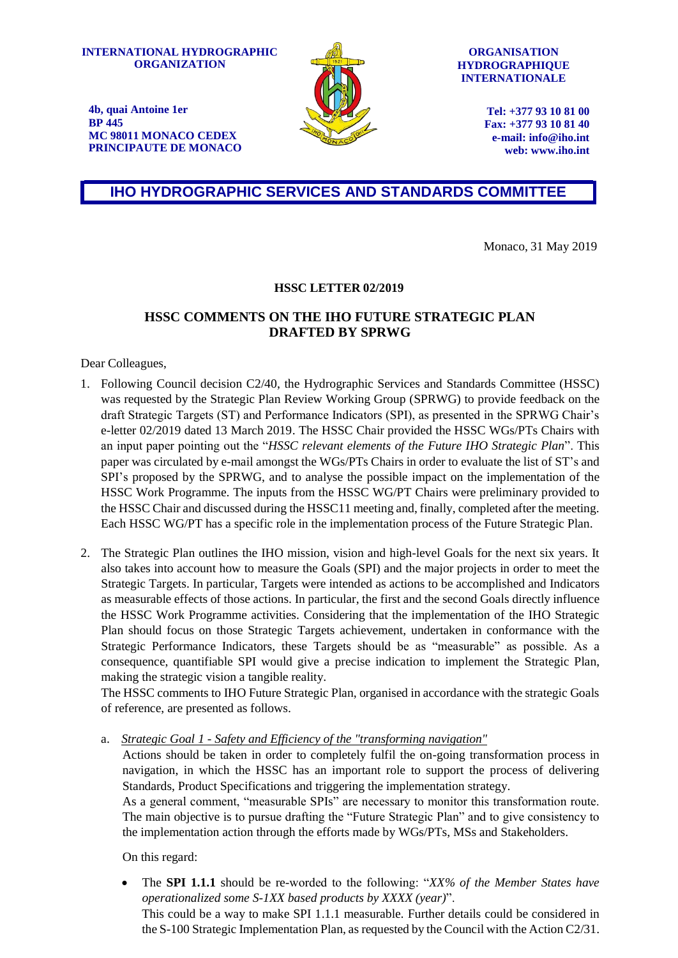**INTERNATIONAL HYDROGRAPHIC ORGANIZATION**

**4b, quai Antoine 1er**

**MC 98011 MONACO CEDEX PRINCIPAUTE DE MONACO**

**BP 445**



**ORGANISATION HYDROGRAPHIQUE INTERNATIONALE**

> **Tel: +377 93 10 81 00 Fax: +377 93 10 81 40 e-mail: [info@iho.int](mailto:info@iho.int) web: [www.iho.int](http://www.iho.int/)**

**IHO HYDROGRAPHIC SERVICES AND STANDARDS COMMITTEE**

Monaco, 31 May 2019

## **HSSC LETTER 02/2019**

## **HSSC COMMENTS ON THE IHO FUTURE STRATEGIC PLAN DRAFTED BY SPRWG**

Dear Colleagues,

- 1. Following Council decision C2/40, the Hydrographic Services and Standards Committee (HSSC) was requested by the Strategic Plan Review Working Group (SPRWG) to provide feedback on the draft Strategic Targets (ST) and Performance Indicators (SPI), as presented in the SPRWG Chair's e-letter 02/2019 dated 13 March 2019. The HSSC Chair provided the HSSC WGs/PTs Chairs with an input paper pointing out the "*HSSC relevant elements of the Future IHO Strategic Plan*". This paper was circulated by e-mail amongst the WGs/PTs Chairs in order to evaluate the list of ST's and SPI's proposed by the SPRWG, and to analyse the possible impact on the implementation of the HSSC Work Programme. The inputs from the HSSC WG/PT Chairs were preliminary provided to the HSSC Chair and discussed during the HSSC11 meeting and, finally, completed after the meeting. Each HSSC WG/PT has a specific role in the implementation process of the Future Strategic Plan.
- 2. The Strategic Plan outlines the IHO mission, vision and high-level Goals for the next six years. It also takes into account how to measure the Goals (SPI) and the major projects in order to meet the Strategic Targets. In particular, Targets were intended as actions to be accomplished and Indicators as measurable effects of those actions. In particular, the first and the second Goals directly influence the HSSC Work Programme activities. Considering that the implementation of the IHO Strategic Plan should focus on those Strategic Targets achievement, undertaken in conformance with the Strategic Performance Indicators, these Targets should be as "measurable" as possible. As a consequence, quantifiable SPI would give a precise indication to implement the Strategic Plan, making the strategic vision a tangible reality.

The HSSC comments to IHO Future Strategic Plan, organised in accordance with the strategic Goals of reference, are presented as follows.

a. *Strategic Goal 1 - Safety and Efficiency of the "transforming navigation"*

Actions should be taken in order to completely fulfil the on-going transformation process in navigation, in which the HSSC has an important role to support the process of delivering Standards, Product Specifications and triggering the implementation strategy.

As a general comment, "measurable SPIs" are necessary to monitor this transformation route. The main objective is to pursue drafting the "Future Strategic Plan" and to give consistency to the implementation action through the efforts made by WGs/PTs, MSs and Stakeholders.

On this regard:

 The **SPI 1.1.1** should be re-worded to the following: "*XX% of the Member States have operationalized some S-1XX based products by XXXX (year)*". This could be a way to make SPI 1.1.1 measurable. Further details could be considered in the S-100 Strategic Implementation Plan, as requested by the Council with the Action C2/31.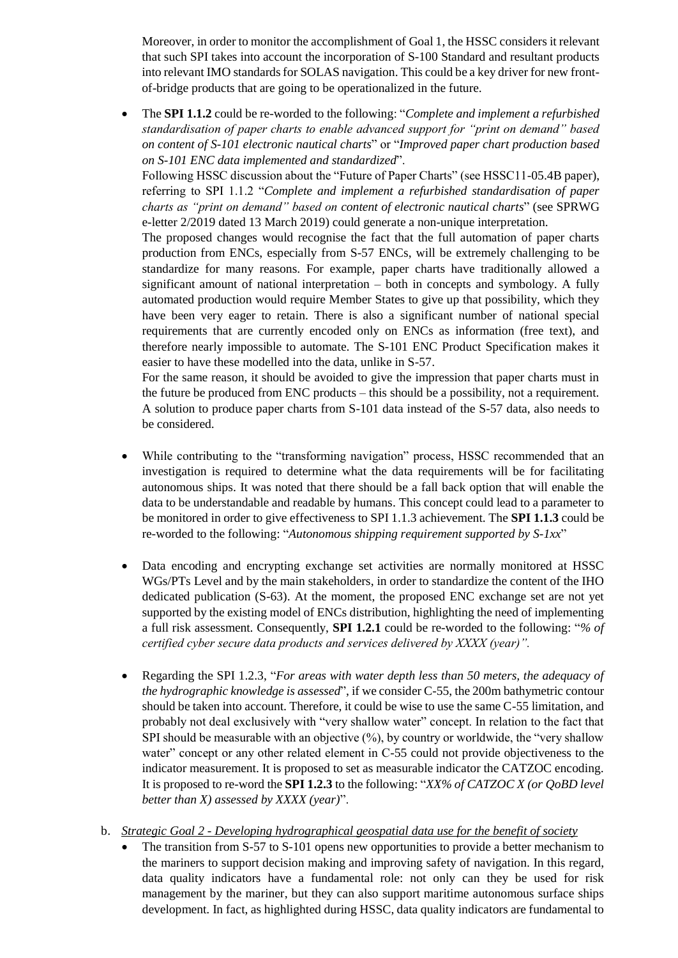Moreover, in order to monitor the accomplishment of Goal 1, the HSSC considers it relevant that such SPI takes into account the incorporation of S-100 Standard and resultant products into relevant IMO standards for SOLAS navigation. This could be a key driver for new frontof-bridge products that are going to be operationalized in the future.

 The **SPI 1.1.2** could be re-worded to the following: "*Complete and implement a refurbished standardisation of paper charts to enable advanced support for "print on demand" based on content of S-101 electronic nautical charts*" or "*Improved paper chart production based on S-101 ENC data implemented and standardized*".

Following HSSC discussion about the "Future of Paper Charts" (see HSSC11-05.4B paper), referring to SPI 1.1.2 "*Complete and implement a refurbished standardisation of paper charts as "print on demand" based on content of electronic nautical charts*" (see SPRWG e-letter 2/2019 dated 13 March 2019) could generate a non-unique interpretation.

The proposed changes would recognise the fact that the full automation of paper charts production from ENCs, especially from S-57 ENCs, will be extremely challenging to be standardize for many reasons. For example, paper charts have traditionally allowed a significant amount of national interpretation – both in concepts and symbology. A fully automated production would require Member States to give up that possibility, which they have been very eager to retain. There is also a significant number of national special requirements that are currently encoded only on ENCs as information (free text), and therefore nearly impossible to automate. The S-101 ENC Product Specification makes it easier to have these modelled into the data, unlike in S-57.

For the same reason, it should be avoided to give the impression that paper charts must in the future be produced from ENC products – this should be a possibility, not a requirement. A solution to produce paper charts from S-101 data instead of the S-57 data, also needs to be considered.

- While contributing to the "transforming navigation" process, HSSC recommended that an investigation is required to determine what the data requirements will be for facilitating autonomous ships. It was noted that there should be a fall back option that will enable the data to be understandable and readable by humans. This concept could lead to a parameter to be monitored in order to give effectiveness to SPI 1.1.3 achievement. The **SPI 1.1.3** could be re-worded to the following: "*Autonomous shipping requirement supported by S-1xx*"
- Data encoding and encrypting exchange set activities are normally monitored at HSSC WGs/PTs Level and by the main stakeholders, in order to standardize the content of the IHO dedicated publication (S-63). At the moment, the proposed ENC exchange set are not yet supported by the existing model of ENCs distribution, highlighting the need of implementing a full risk assessment. Consequently, **SPI 1.2.1** could be re-worded to the following: "*% of certified cyber secure data products and services delivered by XXXX (year)".*
- Regarding the SPI 1.2.3, "*For areas with water depth less than 50 meters, the adequacy of the hydrographic knowledge is assessed*", if we consider C-55, the 200m bathymetric contour should be taken into account. Therefore, it could be wise to use the same C-55 limitation, and probably not deal exclusively with "very shallow water" concept. In relation to the fact that SPI should be measurable with an objective (%), by country or worldwide, the "very shallow water" concept or any other related element in C-55 could not provide objectiveness to the indicator measurement. It is proposed to set as measurable indicator the CATZOC encoding. It is proposed to re-word the **SPI 1.2.3** to the following: "*XX% of CATZOC X (or QoBD level better than X) assessed by XXXX (year)*".

b. *Strategic Goal 2 - Developing hydrographical geospatial data use for the benefit of society*

 The transition from S-57 to S-101 opens new opportunities to provide a better mechanism to the mariners to support decision making and improving safety of navigation. In this regard, data quality indicators have a fundamental role: not only can they be used for risk management by the mariner, but they can also support maritime autonomous surface ships development. In fact, as highlighted during HSSC, data quality indicators are fundamental to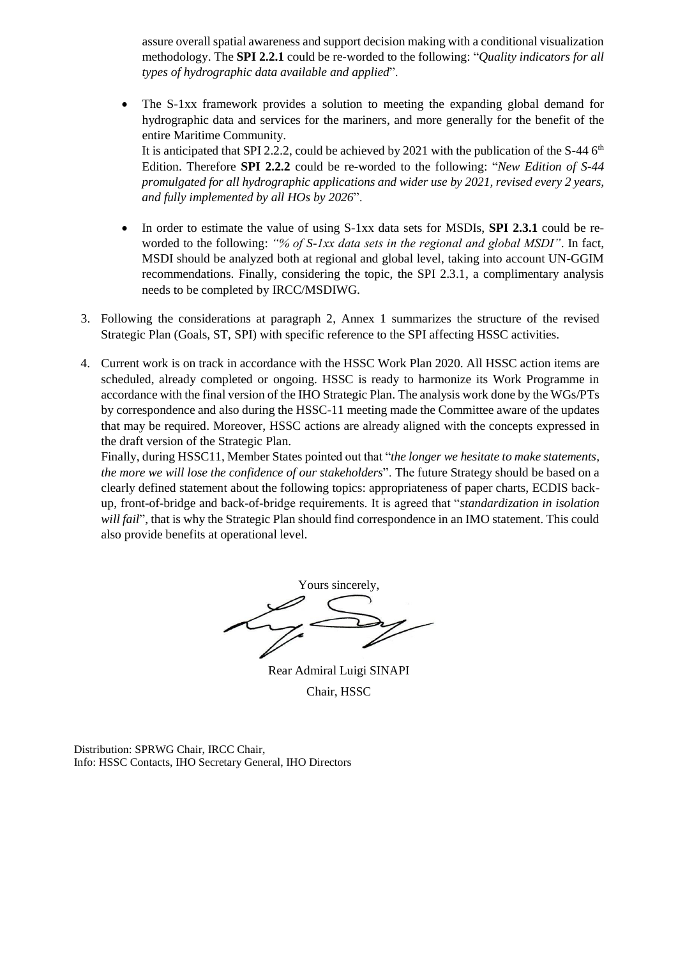assure overall spatial awareness and support decision making with a conditional visualization methodology. The **SPI 2.2.1** could be re-worded to the following: "*Quality indicators for all types of hydrographic data available and applied*".

 The S-1xx framework provides a solution to meeting the expanding global demand for hydrographic data and services for the mariners, and more generally for the benefit of the entire Maritime Community. It is anticipated that SPI 2.2.2, could be achieved by 2021 with the publication of the S-44  $6<sup>th</sup>$ 

Edition. Therefore **SPI 2.2.2** could be re-worded to the following: "*New Edition of S-44 promulgated for all hydrographic applications and wider use by 2021, revised every 2 years, and fully implemented by all HOs by 2026*".

- In order to estimate the value of using S-1xx data sets for MSDIs, **SPI 2.3.1** could be reworded to the following: *"% of S-1xx data sets in the regional and global MSDI"*. In fact, MSDI should be analyzed both at regional and global level, taking into account UN-GGIM recommendations. Finally, considering the topic, the SPI 2.3.1, a complimentary analysis needs to be completed by IRCC/MSDIWG.
- 3. Following the considerations at paragraph 2, Annex 1 summarizes the structure of the revised Strategic Plan (Goals, ST, SPI) with specific reference to the SPI affecting HSSC activities.
- 4. Current work is on track in accordance with the HSSC Work Plan 2020. All HSSC action items are scheduled, already completed or ongoing. HSSC is ready to harmonize its Work Programme in accordance with the final version of the IHO Strategic Plan. The analysis work done by the WGs/PTs by correspondence and also during the HSSC-11 meeting made the Committee aware of the updates that may be required. Moreover, HSSC actions are already aligned with the concepts expressed in the draft version of the Strategic Plan.

Finally, during HSSC11, Member States pointed out that "*the longer we hesitate to make statements, the more we will lose the confidence of our stakeholders*". The future Strategy should be based on a clearly defined statement about the following topics: appropriateness of paper charts, ECDIS backup, front-of-bridge and back-of-bridge requirements. It is agreed that "*standardization in isolation will fail*", that is why the Strategic Plan should find correspondence in an IMO statement. This could also provide benefits at operational level.

Yours sincerely,

Rear Admiral Luigi SINAPI Chair, HSSC

Distribution: SPRWG Chair, IRCC Chair, Info: HSSC Contacts, IHO Secretary General, IHO Directors